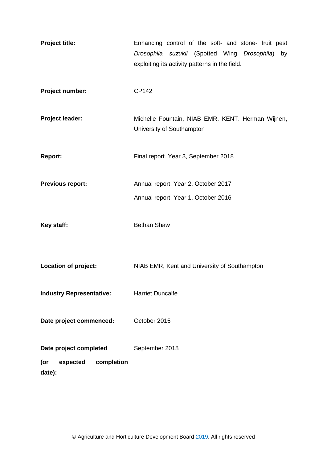<span id="page-0-0"></span>**Project title:** Enhancing control of the soft- and stone- fruit pest *Drosophila suzukii* (Spotted Wing *Drosophila*) by exploiting its activity patterns in the field. **Project number:** CP142 Project leader: Michelle Fountain, NIAB EMR, KENT. Herman Wijnen, University of Southampton **Report:** Final report. Year 3, September 2018 **Previous report:** Annual report. Year 2, October 2017 Annual report. Year 1, October 2016 Key staff: Bethan Shaw **Location of project:** NIAB EMR, Kent and University of Southampton **Industry Representative:** Harriet Duncalfe **Date project commenced:** October 2015 **Date project completed (or expected completion date):**  September 2018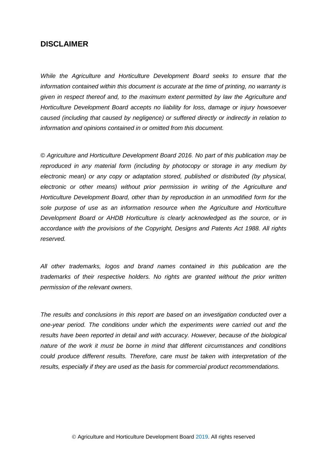# **DISCLAIMER**

*While the Agriculture and Horticulture Development Board seeks to ensure that the information contained within this document is accurate at the time of printing, no warranty is given in respect thereof and, to the maximum extent permitted by law the Agriculture and Horticulture Development Board accepts no liability for loss, damage or injury howsoever caused (including that caused by negligence) or suffered directly or indirectly in relation to information and opinions contained in or omitted from this document.* 

*© Agriculture and Horticulture Development Board 2016. No part of this publication may be reproduced in any material form (including by photocopy or storage in any medium by electronic mean) or any copy or adaptation stored, published or distributed (by physical, electronic or other means) without prior permission in writing of the Agriculture and Horticulture Development Board, other than by reproduction in an unmodified form for the sole purpose of use as an information resource when the Agriculture and Horticulture Development Board or AHDB Horticulture is clearly acknowledged as the source, or in accordance with the provisions of the Copyright, Designs and Patents Act 1988. All rights reserved.*

*All other trademarks, logos and brand names contained in this publication are the trademarks of their respective holders. No rights are granted without the prior written permission of the relevant owners.* 

*The results and conclusions in this report are based on an investigation conducted over a one-year period. The conditions under which the experiments were carried out and the results have been reported in detail and with accuracy. However, because of the biological nature of the work it must be borne in mind that different circumstances and conditions could produce different results. Therefore, care must be taken with interpretation of the results, especially if they are used as the basis for commercial product recommendations.*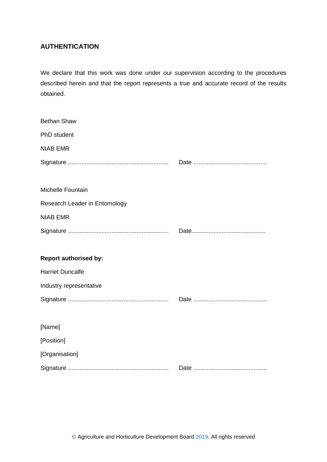# <span id="page-2-0"></span>**AUTHENTICATION**

We declare that this work was done under our supervision according to the procedures described herein and that the report represents a true and accurate record of the results obtained.

| <b>Bethan Shaw</b>            |  |
|-------------------------------|--|
| PhD student                   |  |
| <b>NIAB EMR</b>               |  |
|                               |  |
|                               |  |
| Michelle Fountain             |  |
| Research Leader in Entomology |  |
| <b>NIAB EMR</b>               |  |
|                               |  |
|                               |  |
| <b>Report authorised by:</b>  |  |
| <b>Harriet Duncalfe</b>       |  |
| Industry representative       |  |
|                               |  |
|                               |  |
| [Name]                        |  |
| [Position]                    |  |
| [Organisation]                |  |
|                               |  |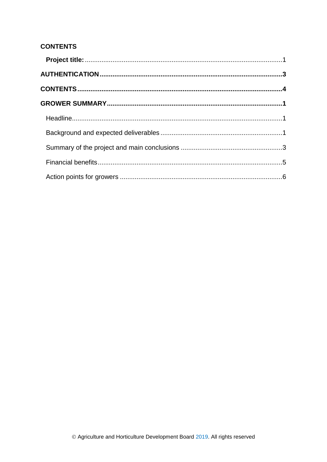# <span id="page-3-0"></span>**CONTENTS**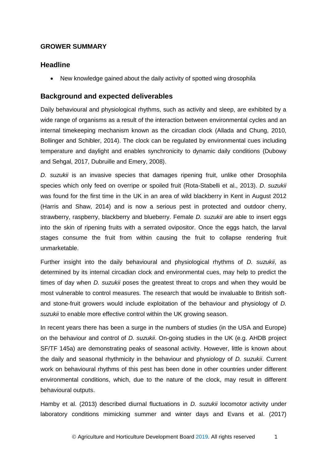### <span id="page-4-0"></span>**GROWER SUMMARY**

### <span id="page-4-1"></span>**Headline**

New knowledge gained about the daily activity of spotted wing drosophila

### <span id="page-4-2"></span>**Background and expected deliverables**

Daily behavioural and physiological rhythms, such as activity and sleep, are exhibited by a wide range of organisms as a result of the interaction between environmental cycles and an internal timekeeping mechanism known as the circadian clock (Allada and Chung, 2010, Bollinger and Schibler, 2014). The clock can be regulated by environmental cues including temperature and daylight and enables synchronicity to dynamic daily conditions (Dubowy and Sehgal, 2017, Dubruille and Emery, 2008).

*D. suzukii* is an invasive species that damages ripening fruit, unlike other Drosophila species which only feed on overripe or spoiled fruit (Rota-Stabelli et al., 2013). *D. suzukii*  was found for the first time in the UK in an area of wild blackberry in Kent in August 2012 (Harris and Shaw, 2014) and is now a serious pest in protected and outdoor cherry, strawberry, raspberry, blackberry and blueberry. Female *D. suzukii* are able to insert eggs into the skin of ripening fruits with a serrated ovipositor. Once the eggs hatch, the larval stages consume the fruit from within causing the fruit to collapse rendering fruit unmarketable.

Further insight into the daily behavioural and physiological rhythms of *D. suzukii*, as determined by its internal circadian clock and environmental cues, may help to predict the times of day when *D. suzukii* poses the greatest threat to crops and when they would be most vulnerable to control measures. The research that would be invaluable to British softand stone-fruit growers would include exploitation of the behaviour and physiology of *D. suzukii* to enable more effective control within the UK growing season.

In recent years there has been a surge in the numbers of studies (in the USA and Europe) on the behaviour and control of *D. suzukii*. On-going studies in the UK (e.g. AHDB project SF/TF 145a) are demonstrating peaks of seasonal activity. However, little is known about the daily and seasonal rhythmicity in the behaviour and physiology of *D. suzukii*. Current work on behavioural rhythms of this pest has been done in other countries under different environmental conditions, which, due to the nature of the clock, may result in different behavioural outputs.

Hamby et al. (2013) described diurnal fluctuations in *D. suzukii* locomotor activity under laboratory conditions mimicking summer and winter days and Evans et al. (2017)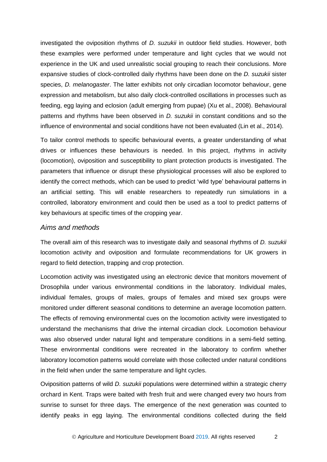investigated the oviposition rhythms of *D. suzukii* in outdoor field studies. However, both these examples were performed under temperature and light cycles that we would not experience in the UK and used unrealistic social grouping to reach their conclusions. More expansive studies of clock-controlled daily rhythms have been done on the *D. suzukii* sister species, *D. melanogaster*. The latter exhibits not only circadian locomotor behaviour, gene expression and metabolism, but also daily clock-controlled oscillations in processes such as feeding, egg laying and eclosion (adult emerging from pupae) (Xu et al., 2008). Behavioural patterns and rhythms have been observed in *D. suzukii* in constant conditions and so the influence of environmental and social conditions have not been evaluated (Lin et al., 2014).

To tailor control methods to specific behavioural events, a greater understanding of what drives or influences these behaviours is needed. In this project, rhythms in activity (locomotion), oviposition and susceptibility to plant protection products is investigated. The parameters that influence or disrupt these physiological processes will also be explored to identify the correct methods, which can be used to predict 'wild type' behavioural patterns in an artificial setting. This will enable researchers to repeatedly run simulations in a controlled, laboratory environment and could then be used as a tool to predict patterns of key behaviours at specific times of the cropping year.

#### *Aims and methods*

The overall aim of this research was to investigate daily and seasonal rhythms of *D. suzukii*  locomotion activity and oviposition and formulate recommendations for UK growers in regard to field detection, trapping and crop protection.

Locomotion activity was investigated using an electronic device that monitors movement of Drosophila under various environmental conditions in the laboratory. Individual males, individual females, groups of males, groups of females and mixed sex groups were monitored under different seasonal conditions to determine an average locomotion pattern. The effects of removing environmental cues on the locomotion activity were investigated to understand the mechanisms that drive the internal circadian clock. Locomotion behaviour was also observed under natural light and temperature conditions in a semi-field setting. These environmental conditions were recreated in the laboratory to confirm whether laboratory locomotion patterns would correlate with those collected under natural conditions in the field when under the same temperature and light cycles.

Oviposition patterns of wild *D. suzukii* populations were determined within a strategic cherry orchard in Kent. Traps were baited with fresh fruit and were changed every two hours from sunrise to sunset for three days. The emergence of the next generation was counted to identify peaks in egg laying. The environmental conditions collected during the field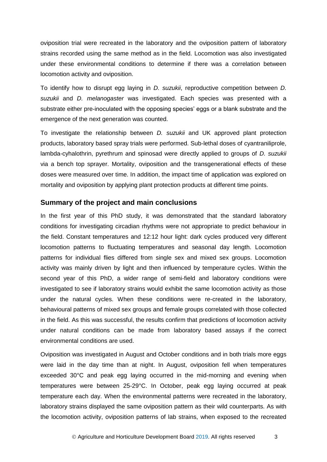oviposition trial were recreated in the laboratory and the oviposition pattern of laboratory strains recorded using the same method as in the field. Locomotion was also investigated under these environmental conditions to determine if there was a correlation between locomotion activity and oviposition.

To identify how to disrupt egg laying in *D. suzukii*, reproductive competition between *D. suzukii* and *D. melanogaster* was investigated. Each species was presented with a substrate either pre-inoculated with the opposing species' eggs or a blank substrate and the emergence of the next generation was counted.

To investigate the relationship between *D. suzukii* and UK approved plant protection products, laboratory based spray trials were performed. Sub-lethal doses of cyantraniliprole, lambda-cyhalothrin, pyrethrum and spinosad were directly applied to groups of *D. suzukii*  via a bench top sprayer. Mortality, oviposition and the transgenerational effects of these doses were measured over time. In addition, the impact time of application was explored on mortality and oviposition by applying plant protection products at different time points.

#### <span id="page-6-0"></span>**Summary of the project and main conclusions**

In the first year of this PhD study, it was demonstrated that the standard laboratory conditions for investigating circadian rhythms were not appropriate to predict behaviour in the field. Constant temperatures and 12:12 hour light: dark cycles produced very different locomotion patterns to fluctuating temperatures and seasonal day length. Locomotion patterns for individual flies differed from single sex and mixed sex groups. Locomotion activity was mainly driven by light and then influenced by temperature cycles. Within the second year of this PhD, a wider range of semi-field and laboratory conditions were investigated to see if laboratory strains would exhibit the same locomotion activity as those under the natural cycles. When these conditions were re-created in the laboratory, behavioural patterns of mixed sex groups and female groups correlated with those collected in the field. As this was successful, the results confirm that predictions of locomotion activity under natural conditions can be made from laboratory based assays if the correct environmental conditions are used.

Oviposition was investigated in August and October conditions and in both trials more eggs were laid in the day time than at night. In August, oviposition fell when temperatures exceeded 30°C and peak egg laying occurred in the mid-morning and evening when temperatures were between 25-29°C. In October, peak egg laying occurred at peak temperature each day. When the environmental patterns were recreated in the laboratory, laboratory strains displayed the same oviposition pattern as their wild counterparts. As with the locomotion activity, oviposition patterns of lab strains, when exposed to the recreated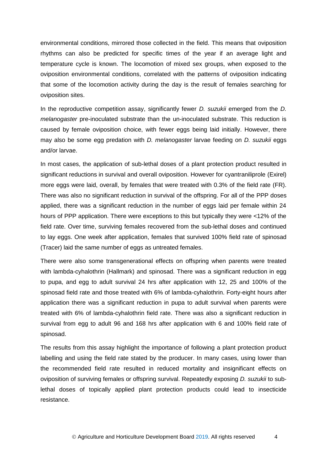environmental conditions, mirrored those collected in the field. This means that oviposition rhythms can also be predicted for specific times of the year if an average light and temperature cycle is known. The locomotion of mixed sex groups, when exposed to the oviposition environmental conditions, correlated with the patterns of oviposition indicating that some of the locomotion activity during the day is the result of females searching for oviposition sites.

In the reproductive competition assay, significantly fewer *D. suzukii* emerged from the *D. melanogaster* pre-inoculated substrate than the un-inoculated substrate. This reduction is caused by female oviposition choice, with fewer eggs being laid initially. However, there may also be some egg predation with *D. melanogaster* larvae feeding on *D. suzukii* eggs and/or larvae.

In most cases, the application of sub-lethal doses of a plant protection product resulted in significant reductions in survival and overall oviposition. However for cyantraniliprole (Exirel) more eggs were laid, overall, by females that were treated with 0.3% of the field rate (FR). There was also no significant reduction in survival of the offspring. For all of the PPP doses applied, there was a significant reduction in the number of eggs laid per female within 24 hours of PPP application. There were exceptions to this but typically they were <12% of the field rate. Over time, surviving females recovered from the sub-lethal doses and continued to lay eggs. One week after application, females that survived 100% field rate of spinosad (Tracer) laid the same number of eggs as untreated females.

There were also some transgenerational effects on offspring when parents were treated with lambda-cyhalothrin (Hallmark) and spinosad. There was a significant reduction in egg to pupa, and egg to adult survival 24 hrs after application with 12, 25 and 100% of the spinosad field rate and those treated with 6% of lambda-cyhalothrin. Forty-eight hours after application there was a significant reduction in pupa to adult survival when parents were treated with 6% of lambda-cyhalothrin field rate. There was also a significant reduction in survival from egg to adult 96 and 168 hrs after application with 6 and 100% field rate of spinosad.

The results from this assay highlight the importance of following a plant protection product labelling and using the field rate stated by the producer. In many cases, using lower than the recommended field rate resulted in reduced mortality and insignificant effects on oviposition of surviving females or offspring survival. Repeatedly exposing *D. suzukii* to sublethal doses of topically applied plant protection products could lead to insecticide resistance.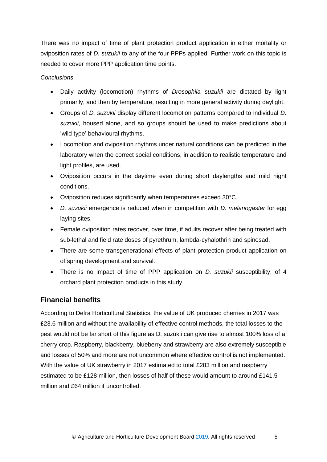There was no impact of time of plant protection product application in either mortality or oviposition rates of *D. suzukii* to any of the four PPPs applied. Further work on this topic is needed to cover more PPP application time points.

### *Conclusions*

- Daily activity (locomotion) rhythms of *Drosophila suzukii* are dictated by light primarily, and then by temperature, resulting in more general activity during daylight.
- Groups of *D. suzukii* display different locomotion patterns compared to individual *D. suzukii*, housed alone, and so groups should be used to make predictions about 'wild type' behavioural rhythms.
- Locomotion and oviposition rhythms under natural conditions can be predicted in the laboratory when the correct social conditions, in addition to realistic temperature and light profiles, are used.
- Oviposition occurs in the daytime even during short daylengths and mild night conditions.
- Oviposition reduces significantly when temperatures exceed 30°C.
- *D. suzukii* emergence is reduced when in competition with *D. melanogaster* for egg laying sites.
- Female oviposition rates recover, over time, if adults recover after being treated with sub-lethal and field rate doses of pyrethrum, lambda-cyhalothrin and spinosad.
- There are some transgenerational effects of plant protection product application on offspring development and survival.
- There is no impact of time of PPP application on *D. suzukii* susceptibility, of 4 orchard plant protection products in this study.

# <span id="page-8-0"></span>**Financial benefits**

According to Defra Horticultural Statistics, the value of UK produced cherries in 2017 was £23.6 million and without the availability of effective control methods, the total losses to the pest would not be far short of this figure as D. suzukii can give rise to almost 100% loss of a cherry crop. Raspberry, blackberry, blueberry and strawberry are also extremely susceptible and losses of 50% and more are not uncommon where effective control is not implemented. With the value of UK strawberry in 2017 estimated to total £283 million and raspberry estimated to be £128 million, then losses of half of these would amount to around £141.5 million and £64 million if uncontrolled.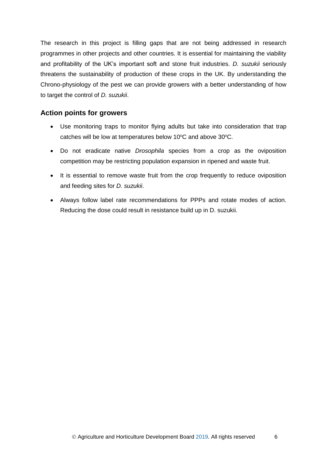The research in this project is filling gaps that are not being addressed in research programmes in other projects and other countries. It is essential for maintaining the viability and profitability of the UK's important soft and stone fruit industries. *D. suzukii* seriously threatens the sustainability of production of these crops in the UK. By understanding the Chrono-physiology of the pest we can provide growers with a better understanding of how to target the control of *D. suzukii*.

### <span id="page-9-0"></span>**Action points for growers**

- Use monitoring traps to monitor flying adults but take into consideration that trap catches will be low at temperatures below 10°C and above 30°C.
- Do not eradicate native *Drosophila* species from a crop as the oviposition competition may be restricting population expansion in ripened and waste fruit.
- It is essential to remove waste fruit from the crop frequently to reduce oviposition and feeding sites for *D. suzukii*.
- Always follow label rate recommendations for PPPs and rotate modes of action. Reducing the dose could result in resistance build up in D. suzukii.